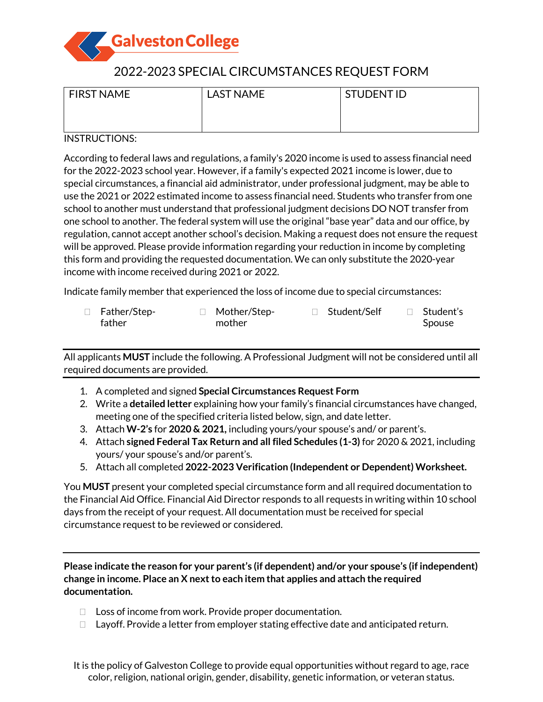

# 2022-2023 SPECIAL CIRCUMSTANCES REQUEST FORM

| <b>FIRST NAME</b> | <b>LAST NAME</b> | <b>STUDENTID</b> |
|-------------------|------------------|------------------|
|                   |                  |                  |
|                   |                  |                  |

## INSTRUCTIONS:

According to federal laws and regulations, a family's 2020 income is used to assess financial need for the 2022-2023 school year. However, if a family's expected 2021 income is lower, due to special circumstances, a financial aid administrator, under professional judgment, may be able to use the 2021 or 2022 estimated income to assess financial need. Students who transfer from one school to another must understand that professional judgment decisions DO NOT transfer from one school to another. The federal system will use the original "base year" data and our office, by regulation, cannot accept another school's decision. Making a request does not ensure the request will be approved. Please provide information regarding your reduction in income by completing this form and providing the requested documentation. We can only substitute the 2020-year income with income received during 2021 or 2022.

Indicate family member that experienced the loss of income due to special circumstances:

| $\Box$ Father/Step- | □ Mother/Step- | □ Student/Self | $\Box$ Student's |
|---------------------|----------------|----------------|------------------|
| father              | mother         |                | Spouse           |

All applicants **MUST** include the following. A Professional Judgment will not be considered until all required documents are provided.

- 1. A completed and signed **Special Circumstances Request Form**
- 2. Write a **detailed letter** explaining how your family's financial circumstances have changed, meeting one of the specified criteria listed below, sign, and date letter.
- 3. Attach **W-2's** for **2020 & 2021,** including yours/your spouse's and/ or parent's.
- 4. Attach **signed Federal Tax Return and all filed Schedules (1-3)** for 2020 & 2021, including yours/ your spouse's and/or parent's.
- 5. Attach all completed **2022-2023 Verification (Independent or Dependent) Worksheet.**

You **MUST** present your completed special circumstance form and all required documentation to the Financial Aid Office. Financial Aid Director responds to all requests in writing within 10 school days from the receipt of your request. All documentation must be received for special circumstance request to be reviewed or considered.

**Please indicate the reason for your parent's (if dependent) and/or your spouse's (if independent) change in income. Place an X next to each item that applies and attach the required documentation.**

- $\Box$  Loss of income from work. Provide proper documentation.
- $\Box$  Layoff. Provide a letter from employer stating effective date and anticipated return.

It is the policy of Galveston College to provide equal opportunities without regard to age, race color, religion, national origin, gender, disability, genetic information, or veteran status.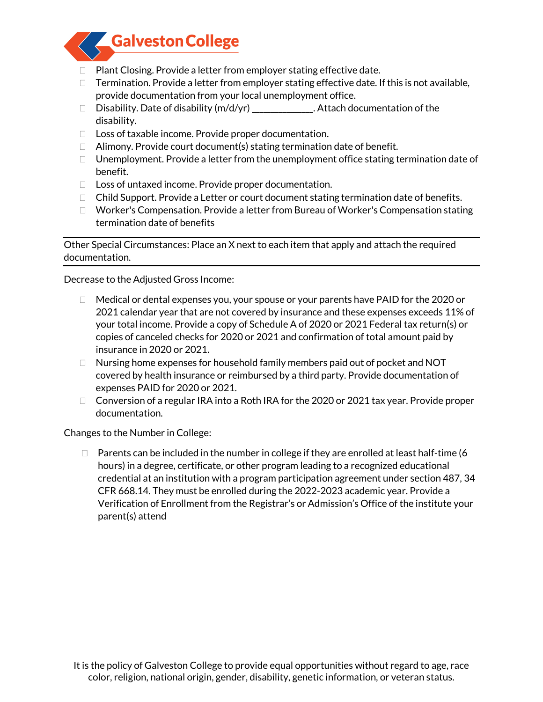

- $\Box$  Plant Closing. Provide a letter from employer stating effective date.
- $\Box$  Termination. Provide a letter from employer stating effective date. If this is not available, provide documentation from your local unemployment office.
- □ Disability. Date of disability (m/d/yr) \_\_\_\_\_\_\_\_\_\_\_\_\_. Attach documentation of the disability.
- $\Box$  Loss of taxable income. Provide proper documentation.
- $\Box$  Alimony. Provide court document(s) stating termination date of benefit.
- $\Box$  Unemployment. Provide a letter from the unemployment office stating termination date of benefit.
- □ Loss of untaxed income. Provide proper documentation.
- $\Box$  Child Support. Provide a Letter or court document stating termination date of benefits.
- $\Box$  Worker's Compensation. Provide a letter from Bureau of Worker's Compensation stating termination date of benefits

Other Special Circumstances: Place an X next to each item that apply and attach the required documentation.

Decrease to the Adjusted Gross Income:

- $\Box$  Medical or dental expenses you, your spouse or your parents have PAID for the 2020 or 2021 calendar year that are not covered by insurance and these expenses exceeds 11% of your total income. Provide a copy of Schedule A of 2020 or 2021 Federal tax return(s) or copies of canceled checks for 2020 or 2021 and confirmation of total amount paid by insurance in 2020 or 2021.
- $\Box$  Nursing home expenses for household family members paid out of pocket and NOT covered by health insurance or reimbursed by a third party. Provide documentation of expenses PAID for 2020 or 2021.
- $\Box$  Conversion of a regular IRA into a Roth IRA for the 2020 or 2021 tax year. Provide proper documentation.

Changes to the Number in College:

 $\Box$  Parents can be included in the number in college if they are enrolled at least half-time (6 hours) in a degree, certificate, or other program leading to a recognized educational credential at an institution with a program participation agreement under section 487, 34 CFR 668.14. They must be enrolled during the 2022-2023 academic year. Provide a Verification of Enrollment from the Registrar's or Admission's Office of the institute your parent(s) attend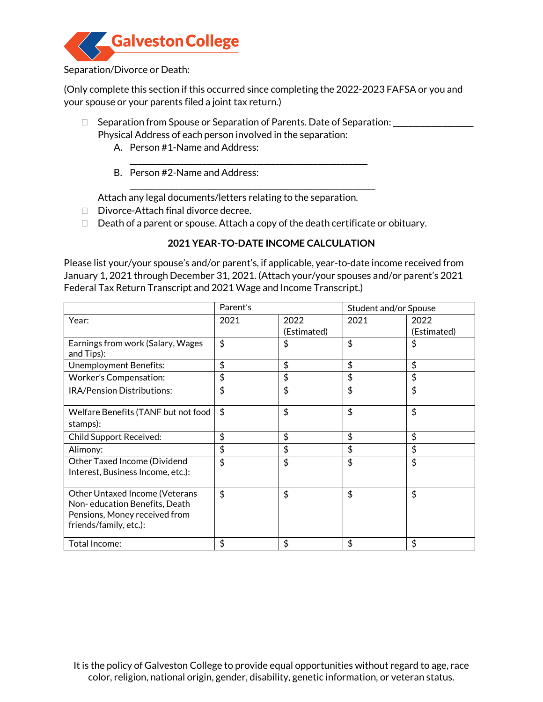

## Separation/Divorce or Death:

(Only complete this section if this occurred since completing the 2022-2023 FAFSA or you and your spouse or your parents filed a joint tax return.)

- □ Separation from Spouse or Separation of Parents. Date of Separation: \_\_\_\_\_\_\_\_\_\_\_\_\_\_\_ Physical Address of each person involved in the separation:
	- A. Person #1-Name and Address:
	- \_\_\_\_\_\_\_\_\_\_\_\_\_\_\_\_\_\_\_\_\_\_\_\_\_\_\_\_\_\_\_\_\_\_\_\_\_\_\_\_\_\_\_\_\_\_\_\_\_\_\_\_\_\_\_\_\_\_\_\_\_\_ B. Person #2-Name and Address:

Attach any legal documents/letters relating to the separation.

- Divorce-Attach final divorce decree.
- $\Box$  Death of a parent or spouse. Attach a copy of the death certificate or obituary.

\_\_\_\_\_\_\_\_\_\_\_\_\_\_\_\_\_\_\_\_\_\_\_\_\_\_\_\_\_\_\_\_\_\_\_\_\_\_\_\_\_\_\_\_\_\_\_\_\_\_\_\_\_\_\_\_\_\_\_\_\_\_\_\_

## **2021 YEAR-TO-DATE INCOME CALCULATION**

Please list your/your spouse's and/or parent's, if applicable, year-to-date income received from January 1, 2021 through December 31, 2021. (Attach your/your spouses and/or parent's 2021 Federal Tax Return Transcript and 2021 Wage and Income Transcript.)

|                                                                                                                                   | Parent's |                     | Student and/or Spouse |                     |
|-----------------------------------------------------------------------------------------------------------------------------------|----------|---------------------|-----------------------|---------------------|
| Year:                                                                                                                             | 2021     | 2022<br>(Estimated) | 2021                  | 2022<br>(Estimated) |
| Earnings from work (Salary, Wages<br>and Tips):                                                                                   | \$       | \$                  | \$                    | \$                  |
| <b>Unemployment Benefits:</b>                                                                                                     | \$       | \$                  | \$                    | \$                  |
| <b>Worker's Compensation:</b>                                                                                                     | \$       | \$                  | \$                    | \$                  |
| IRA/Pension Distributions:                                                                                                        | \$       | \$                  | \$                    | \$                  |
| Welfare Benefits (TANF but not food<br>stamps):                                                                                   | \$       | \$                  | \$                    | \$                  |
| <b>Child Support Received:</b>                                                                                                    | \$       | \$                  | \$                    | \$                  |
| Alimony:                                                                                                                          | \$       | \$                  | \$                    | \$                  |
| Other Taxed Income (Dividend<br>Interest, Business Income, etc.):                                                                 | \$       | \$                  | \$                    | \$                  |
| <b>Other Untaxed Income (Veterans</b><br>Non-education Benefits, Death<br>Pensions, Money received from<br>friends/family, etc.): | \$       | \$                  | \$                    | \$                  |
| Total Income:                                                                                                                     | \$       | \$                  | \$                    | \$                  |

It is the policy of Galveston College to provide equal opportunities without regard to age, race color, religion, national origin, gender, disability, genetic information, or veteran status.